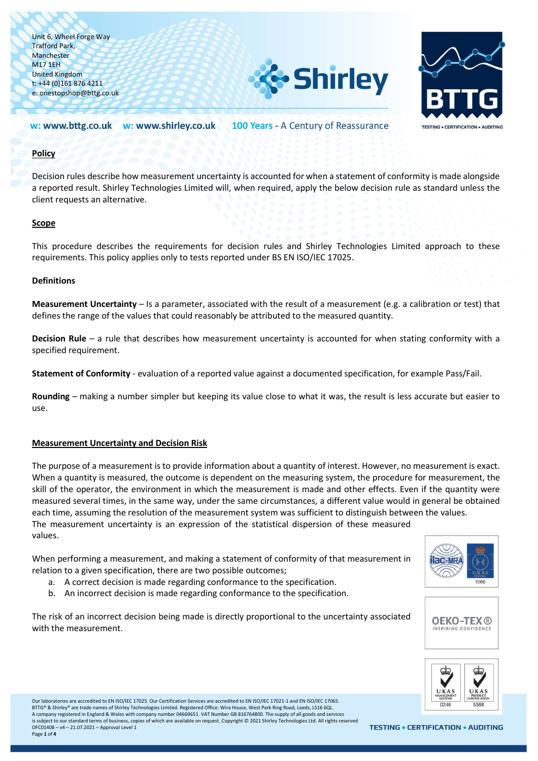



#### 100 Years - A Century of Reassurance w: www.bttg.co.uk w: www.shirley.co.uk

### **Policy**

Decision rules describe how measurement uncertainty is accounted for when a statement of conformity is made alongside a reported result. Shirley Technologies Limited will, when required, apply the below decision rule as standard unless the client requests an alternative.

### **Scope**

This procedure describes the requirements for decision rules and Shirley Technologies Limited approach to these requirements. This policy applies only to tests reported under BS EN ISO/IEC 17025.

## **Definitions**

**Measurement Uncertainty** – Is a parameter, associated with the result of a measurement (e.g. a calibration or test) that defines the range of the values that could reasonably be attributed to the measured quantity.

**Decision Rule** – a rule that describes how measurement uncertainty is accounted for when stating conformity with a specified requirement.

**Statement of Conformity** - evaluation of a reported value against a documented specification, for example Pass/Fail.

**Rounding** – making a number simpler but keeping its value close to what it was, the result is less accurate but easier to use.

### **Measurement Uncertainty and Decision Risk**

The purpose of a measurement is to provide information about a quantity of interest. However, no measurement is exact. When a quantity is measured, the outcome is dependent on the measuring system, the procedure for measurement, the skill of the operator, the environment in which the measurement is made and other effects. Even if the quantity were measured several times, in the same way, under the same circumstances, a different value would in general be obtained each time, assuming the resolution of the measurement system was sufficient to distinguish between the values. The measurement uncertainty is an expression of the statistical dispersion of these measured values.

When performing a measurement, and making a statement of conformity of that measurement in relation to a given specification, there are two possible outcomes;

- a. A correct decision is made regarding conformance to the specification.
- b. An incorrect decision is made regarding conformance to the specification.

The risk of an incorrect decision being made is directly proportional to the uncertainty associated with the measurement.







Our laboratories are accredited to EN ISO/IEC 17025. Our Certification Services are accredited to EN ISO/IEC 17021-1 and EN ISO/IEC 17065. BTTG® & Shirley® are trade names of Shirley Technologies Limited. Registered Office: Wira House, West Park Ring Road, Leeds, LS16 6QL. A company registered in England & Wales with company number 04669651. VAT Number GB 816764800. The supply of all goods and services is subject to our standard terms of business, copies of which are available on request. Copyright © 2021 Shirley Technologies Ltd. All rights reserved OFC01408 – v4 – 21.07.2021 – Approval Level 1 Page **1** of **4**

**TESTING • CERTIFICATION • AUDITING**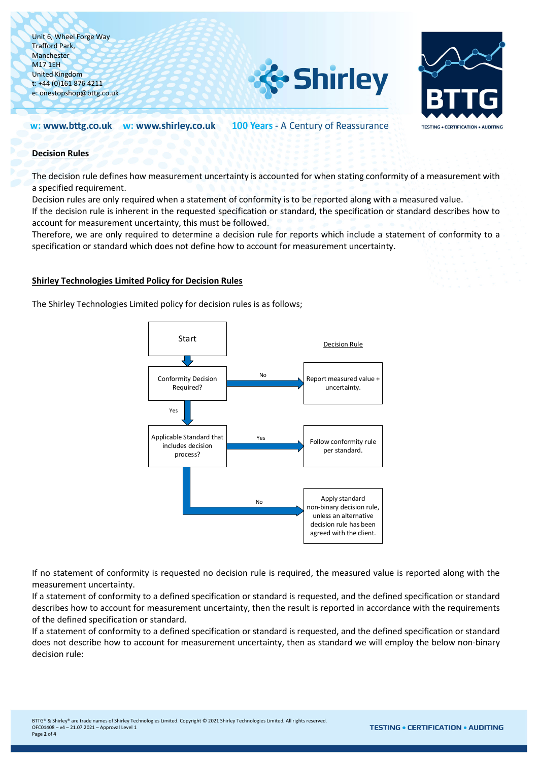



100 Years - A Century of Reassurance w: www.bttg.co.uk w: www.shirley.co.uk

## **Decision Rules**

The decision rule defines how measurement uncertainty is accounted for when stating conformity of a measurement with a specified requirement.

Decision rules are only required when a statement of conformity is to be reported along with a measured value.

If the decision rule is inherent in the requested specification or standard, the specification or standard describes how to account for measurement uncertainty, this must be followed.

Therefore, we are only required to determine a decision rule for reports which include a statement of conformity to a specification or standard which does not define how to account for measurement uncertainty.

## **Shirley Technologies Limited Policy for Decision Rules**

The Shirley Technologies Limited policy for decision rules is as follows;



If no statement of conformity is requested no decision rule is required, the measured value is reported along with the measurement uncertainty.

If a statement of conformity to a defined specification or standard is requested, and the defined specification or standard describes how to account for measurement uncertainty, then the result is reported in accordance with the requirements of the defined specification or standard.

If a statement of conformity to a defined specification or standard is requested, and the defined specification or standard does not describe how to account for measurement uncertainty, then as standard we will employ the below non-binary decision rule: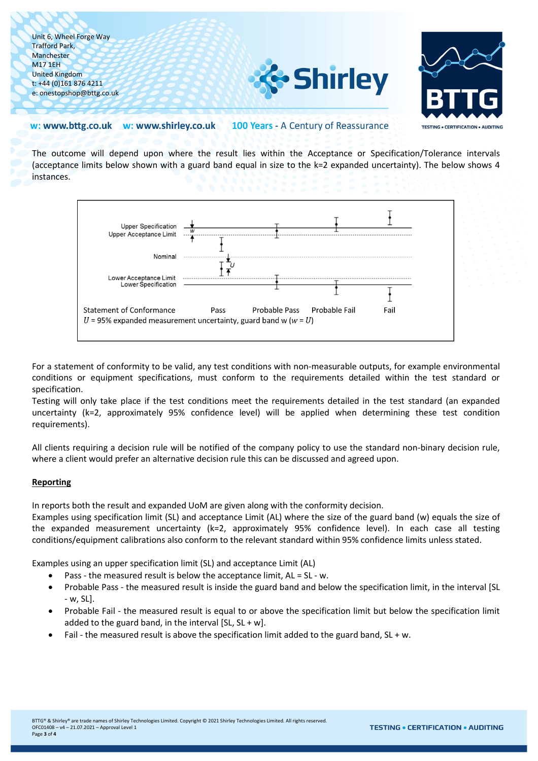



#### w: www.bttg.co.uk w: www.shirley.co.uk 100 Years - A Century of Reassurance

The outcome will depend upon where the result lies within the Acceptance or Specification/Tolerance intervals (acceptance limits below shown with a guard band equal in size to the k=2 expanded uncertainty). The below shows 4 instances.



For a statement of conformity to be valid, any test conditions with non-measurable outputs, for example environmental conditions or equipment specifications, must conform to the requirements detailed within the test standard or specification.

Testing will only take place if the test conditions meet the requirements detailed in the test standard (an expanded uncertainty (k=2, approximately 95% confidence level) will be applied when determining these test condition requirements).

All clients requiring a decision rule will be notified of the company policy to use the standard non-binary decision rule, where a client would prefer an alternative decision rule this can be discussed and agreed upon.

# **Reporting**

In reports both the result and expanded UoM are given along with the conformity decision.

Examples using specification limit (SL) and acceptance Limit (AL) where the size of the guard band (w) equals the size of the expanded measurement uncertainty (k=2, approximately 95% confidence level). In each case all testing conditions/equipment calibrations also conform to the relevant standard within 95% confidence limits unless stated.

Examples using an upper specification limit (SL) and acceptance Limit (AL)

- Pass the measured result is below the acceptance limit, AL = SL w.
- Probable Pass the measured result is inside the guard band and below the specification limit, in the interval [SL - w, SL].
- Probable Fail the measured result is equal to or above the specification limit but below the specification limit added to the guard band, in the interval  $[SL, SL + w]$ .
- Fail the measured result is above the specification limit added to the guard band,  $SL + w$ .